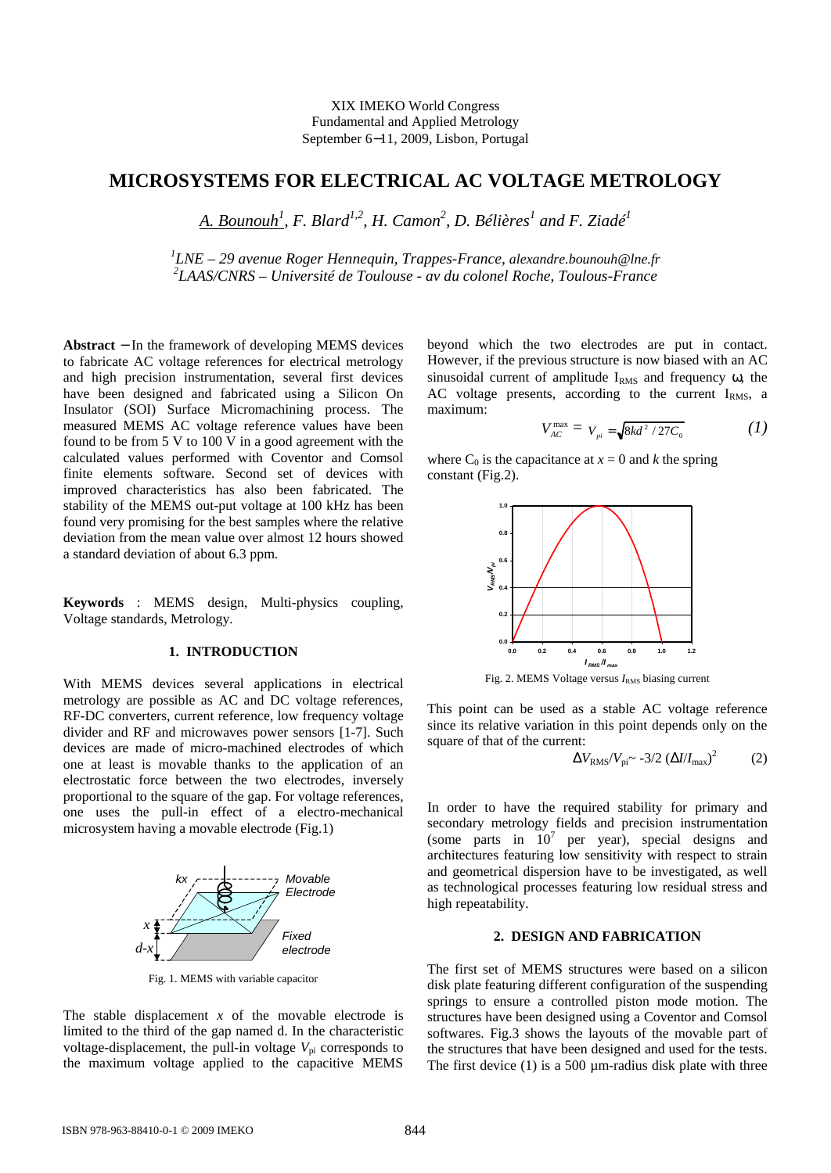### XIX IMEKO World Congress Fundamental and Applied Metrology September 611, 2009, Lisbon, Portugal

# MICROSYSTEMS FOR ELE CTRICAL AC VOLTAGE M ETROLOGY

# <u>A. Bounouĥ,</u> F. Blard<sup>1,2</sup>, H. Camoñ, D. Bélières and F. Ziadė́

## <sup>1</sup>LNE – 29 avenue Roger Hennequin, Trappesance, alexandre.bounouh@lne.fr <sup>2</sup>LAAS/CNRS Université de Toulouseav du colonel Roche, Toulotisance

Abstract - In the framework of developing IEMS devices beyond which the two electrodes are put in contact. to fabricate AC voltage references foectrical metrology However, if the previous structure is now biased with an AC and high precision instrumentation, several first devicesinusoidal current of amplitude M<sub>s</sub> and frequencyw, the have been designed and fabricated using a Silicon OnC voltage presents, acrding to the current RMS, a Insulator (SOI) Surface Micromachining process. The maximum:

measured MEMS AC voltage reference values have been found to be from 5 V $d$  100 V in a good agreement with the

$$
V_{AC}^{max} = V_{pi} = \sqrt{8kd^2/27C_0}
$$
 (1)

calculated values performed with Coventor and Comsowhere  $C_0$  is the capacitance  $a \vDash 0$  and kthe spring finite elements software. Second set of devices withconstant (Fig.2).

improved characteristics has also been fabricated T stability of the MEMS ouput voltage at 100 kHz has been found very promising for the best samples where that ive deviation from the mean value over almost 12 hours showed a standard deviation of about 6.3 ppm.

Keywords : MEMS design, Multiphysics coupling, Voltage standards, Metrology.

## 1. INTRODUCTION

With MEMS devices several applications in electrical metrology are possible as AC and DC voltage references,

RF-DC converters, current reference, low frequency voltage! divider and RF and microwaves power sensor<sup>g</sup>][Such devices are made of microachined electrodes of which This point can be used as a staan C voltage reference since its relative variation in this point depends only on the square of that of the current:

one at least is movable thanks to the application of an electrostatic force between the two electrodes, inversely proportional to the square of the  $g_{\overline{a}}$  voltage references, one uses the pull effect of a electromechanical

microsystem having a movable electrode (Fig.1)



Fig. 1. MEMS with variable capacitor

Fig. 2. MEMS Voltage versus  $k_{RMS}$  biasing current



In order to have the required stability for primary and secondary metrology fields and precision instrumentation (some parts in  $\overline{10}$  per year), special designs and architectures featuring low sensitivity with respect taintr and geometrical dispersion have to be investigated, as well as technological processtes aturing low residual stress and high repeatability.

### 2. DESIGN AND FABRICATI ON

The first set of MEMS structures were based on a silicon disk plate featuring diffrent configuration of the suspending springs to ensure a controlled piston mode motion. The

The stable displacement of the movable electrode is structures have been designed using a Coventor and Comsol limited to the third of the gap named d. In the characteristisoftwares. Fig.3 shows the layouts of the movable part of voltagedisplacement, the pullh voltage V<sub>pi</sub> corresponds to the structures that have been designed and forselable tests. the maximum voltage applied to the capacitive MEMS The first device (1) is a 500  $\mu$ madius disk plate with three

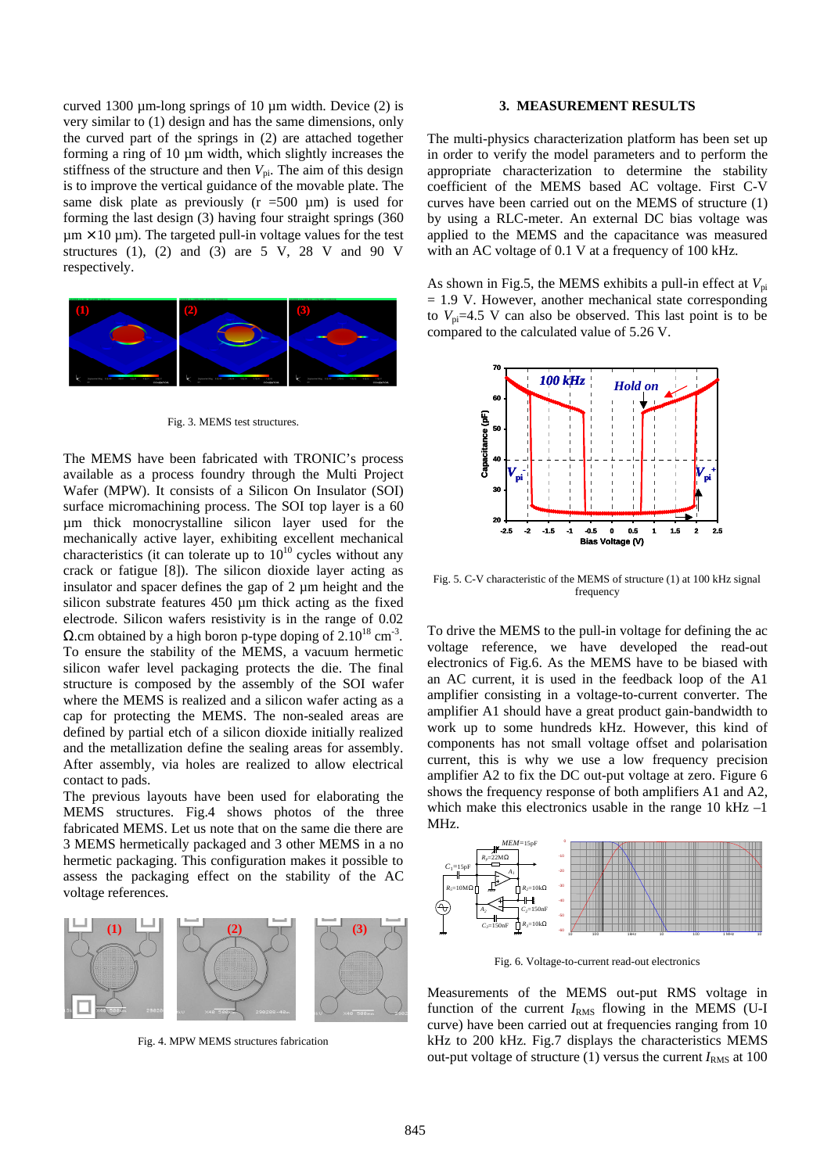curved 1300  $\mu$ m dong springs of 10  $\mu$ m width. Device (2) is very similar to (1) design and has the same dimensions, only

## 3. MEASUREMENT RESULTS

the curved part of the springs in (2) are attached togethethe multi-physics characterization platform has been pet u forming a ring of 10 µm width, which slightly increases thein order to verify the model parameters and to perform the stiffness of the structure and then The aim of this design appropriate characterization to determine the stability is to improve the vertical guidance of the movable plate. Theoefficient of the MEMS based AC voltage. FirstVC same disk plate as previously ( $r = 500 \mu m$ ) is used focurves have been carried out on the MEMS of structure (1) forming the lastlesign (3) having four straight springs (360by using a RLQmeter. An extenal DC bias voltage was µm  $\degree$  10 µm). The targeted puilh voltage values for the test applied to the MEMS and the capacitance was measured structures (1), (2) and (3) are 5 V, 28 V and 90 Vwith an AC voltage of 0.1 V at a frequency of 100 kHz. respectively.



Fig. 3. MEMS test structures.

The MEMS have been fabricated with TRONIC's proces available as a process foundry through the Multi Project Wafer (MPW). It consists of a Silicon On Insulator (SOI) surface micromachining process. The SOI top layer is a 60 µm thick monocrystalline silicon layer used for the mechanically active layer, extiting excellent mechanical characteristics (it can tolerate up to<sup>10</sup> loycles without any

crack or fatigue [8]). The silicon dioxide layer acting as insulator and spacer defines the gap of 2  $\mu$ m height and the  $\frac{1}{2}$ . GV characteristic of the MEMS of structure (1) at 100 kHz signal insulator and spacer defines the gap of 2  $\mu$ m height and the  $\frac{1}{2}$ silicon substrate features  $450 \mu m$  thick actions the fixed frequency

electrode. Silicon wafers resistivity is in the range of 0.02 W.cm obtained by a high boron type doping of  $2.10^{\circ}$  cm<sup>3</sup>. . To ensure the stability of the MEMS, a vacuum hermetic oltage reference, we have developed the medid silicon wafer level packaging protects the diehe final structure is composed by the assembly of the SOI wafer AC current, it is used in the feedback loop of the A1 where the MEMS is realized a silicon wafer acting as a <sup>amplifier</sup> consisting in a voltage-current converter. The cap for protecting the MEMSThe nonsealed areas are amplifier A1 should have a gat product gailbandwidth to defined by partial etch of a silicon dioxide initially realized work up to some hundreds kHz. However, this kind of and the metallization define the sealing areas for assembly. One has not small voltage offset and polarisation After assembly, via holes are realized to allelectrical contact to pads.  $\overline{\ }$  To drive the MEMS to the pulh voltage for defining the c electronics of Fig.6. As the MEMS have to be biased with current, this is why we use a low frequency precision amplifier A2 to fix the DC ouput voltage at zero. Figure 6

The previous layouts have been used for elaborating the bows the frequency response of both amplifiers A1 and A2, MEMS structures. Fig.4 shows photos of the three this make this electronics usable in the range 10 KHz fabricated MEMS. Let us note that on the same die there and Hz.

3 MEMS hermetically packaged and 3 other MEMS in a no hermetic packaging. This configuration makes it possible to assess the packaging effect on the stability of the AC voltage references.



Fig. 4. MPW MEMS structures fabrication

-50 -40 -30 -20 -10 10 100 1kHz 10 100 1 MHz 10  $C_1=15pF$  $R_p = 22MW$ MEM=15pF  $R<sub>2</sub>=10kW$  $C_2$ =150n $F$  $R<sub>5</sub>=10MW$  $C_3$ =150nF  $\prod$ R<sub>3</sub>=10kW  $A_1$  $A_2$ 

Fig. 6. Voltageto-current readout electronics

Measurements of the MEMS optit RMS voltage in function of the current  $R_{MSS}$  flowing in the MEMS (UI curve) have been carried out at frequencies ranging from 10 kHz to 200 kHz. Fig.7 displays the characteristics MEMS out-put voltage of structure  $(1)$  versus the currients at 100

As shown in Fig.5, the MEMS exhibits a pull effect at  $V_{\text{pi}}$ = 1.9 V. However, another mechanical state corresponding to  $V_{pi}=4.5$  V can also be observed. This last point is to be compared to the calculated value of 5.26 V.

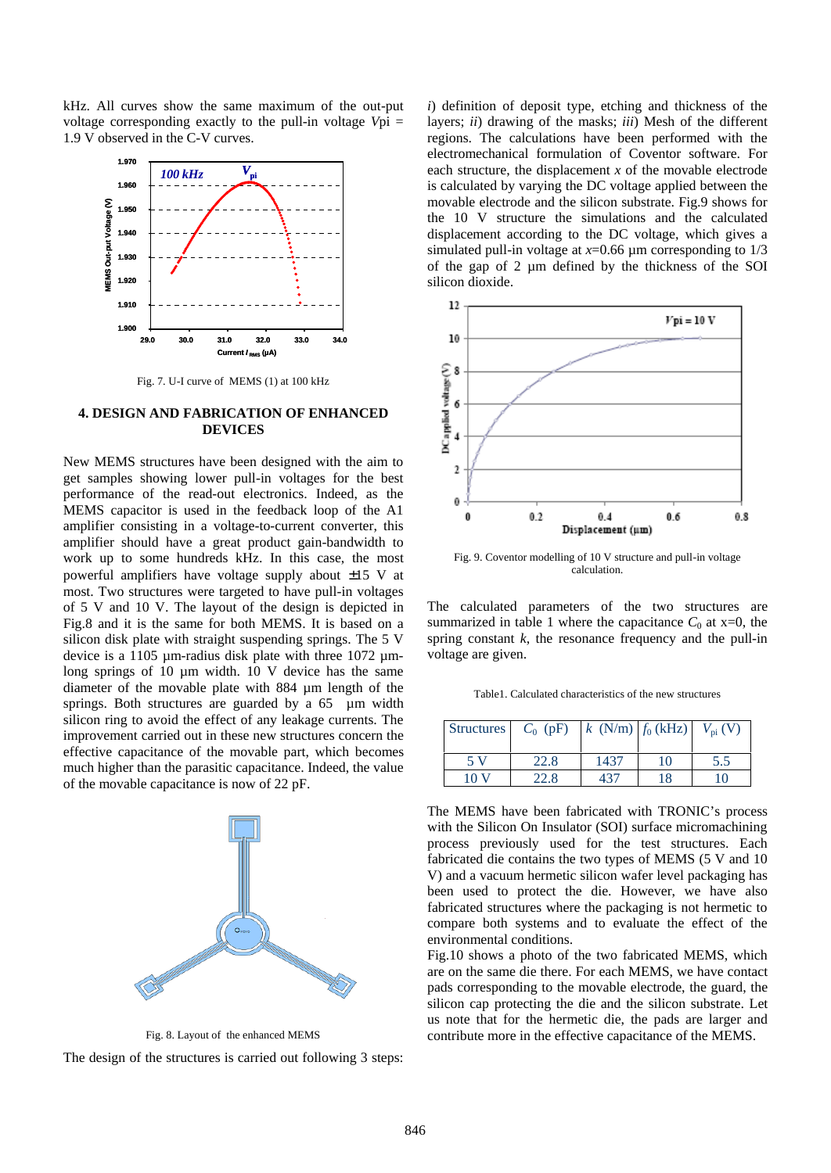kHz. All curves show the same maximum of the-put voltage corresponding exactly to the pull voltage Vpi = 1.9 V observed in the  $\Phi$  curves.



Fig. 7. UI curve of MEMS (1) at 100 kHz

#### 4. DESIGN AND FABRICATION OF ENHANCED DEVICES

New MEMS structures have been designed with the aim to get samples showing lower pullin voltages for the best performance of the readut electronics. Indeed, as the MEMS capacitor is used in the feedback loopthof A1 amplifier consisting in a voltage-current converter, this amplifier should have a great product relationdwidth to work up to some hundreds kHz. In this case, the most powerful amplifiers have voltage supply about  $5 \text{ V}$  at most. Two structures were targeted to have pulloltages

of 5 V and 10 V. The layout of the design is depicted in The calculated parameters of the two structures are Fig.8 and it isthe same for both MEMS. It is based on asummarized inable 1 where the capacitan  $C_{\theta}$  at x=0, the silicon disk plate with straight suspending springse  $5 V$ device is a 1105 urmadius disk plate with three 1072 um voltageare given. long springs of 10 µm width. 10 V device has the same spring constank, the resonance frequency and the -pull

diameter of the movable plate with 884 uendth of the springs. Both structures are guarded by a 65 µm width silicon ring to avoid the effect of any leakage currents. The improvement carried out in these new structures concern the effective capacitance of the movable part, which becomes much higher than the parasitic capacitance. Indeed, the value of the movable capacitance is now of 22 pF.



Fig. 8. Layout of the enhanced MEMS

The design of the structures is carried out following 3 steps:

i) definition of deposit type, etching and the things of the layers; ii) drawing of the masksii) Mesh of the different regions. The calculations have been performed with the electromechanical formulation of Coventor software. For each structure, the displacement the movable electrode is calculated by varying the DC voltage applied between the movable electrode and the silicon substrate. Fig.9 shows for the 10 V structure the simulations and the calculated displacement according to the DC voltage, which gives a simulated pullin voltage at  $x=0.66$  um corresponding to  $1/3$ of the gap of 2 µm defined by the thickness of the SOI silicon dioxide.



Fig. 9. Coventor modelling of 10 V structure and pullvoltage calculation.

Table1. Calculated characteristics of the new structures

| Structures $C_0$ (pF) |      | k $(N/m)   f_0(kHz) $ |    | $V_{pi}$ (V) |
|-----------------------|------|-----------------------|----|--------------|
| .5 V                  | 22.8 | 1437                  | 10 | 5.5          |
| 10 $V$                | 22.8 | 437                   | 18 | 10           |

The MEMS have been fabricated with TRONIC's process with the Silicon On Insulator (SOI) surface micromachining process previously used for the test structures. Each fabricated die contains the two types of MEMS (5 V and 10 V) and a vacuum hermetic silicon wafer level packaging has been used to protect the die. However, we have also fabricated structures where the packaging is not hermetic to compare both systems and to evaluate the effect of the environmental conditions.

Fig.10 shows a photo of the two fabricated MEMS, which are on the same die there. For each MEMS, we have contact pads corresponding to the movable electrode, the guard, the silicon cap protecting the die and the silicon substrate. Let us note that for the hermetic die, the ds are larger and contribute more in the effective capacitance of the MEMS.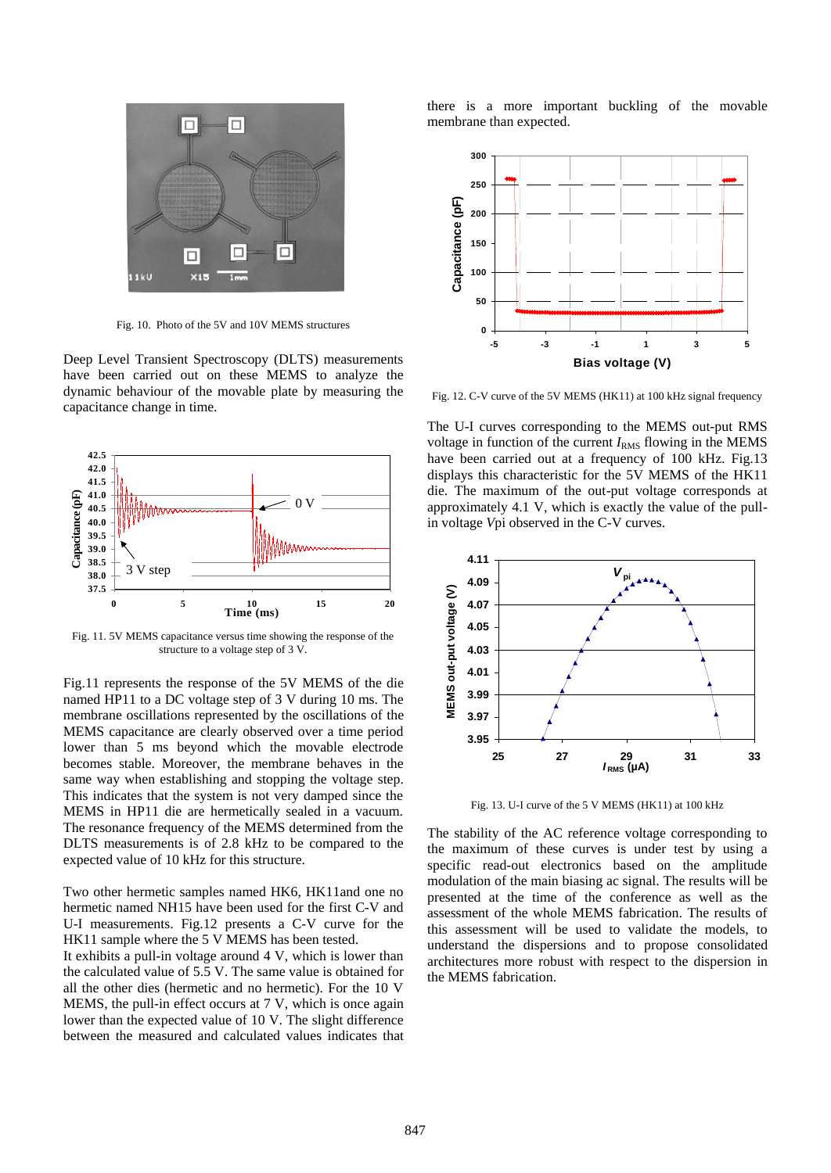

Fig. 10. Photo of the 5V and 10V MEMS structures

Deep Level Transient Spectroscopy (DLTS) measurements

have been carried out on these MEMS to analyze the

dynanic behaviour of the movable plate by measuring the<sub>Fig. 12</sub>. GV curve of the 5V MEMS (HK11) at 100 kHz signal frequency capacitance change in time.

> The UI curves corresponding to the MEMS quit RMS voltage in function of the current  $M_{\text{RMS}}$  flowing in the MEMS have been carried out at a frequency of 100 kHz. Fig.13 displays this characteristic for the 5V MEMS of the HK11 die. The maximum of the outut voltage corresponds at approximately 4.1 V, which is exactly the value of the pull in voltage Vpi observed in the  $\alpha$  curves.



Fig. 13. UI curve of the 5 V MEMS (HK11) at 100 kHz

DLTS measurements is of 2.8 kHz to be compared to the maximum of these curves is under test by using a specific readbut electronics based on the amplitude modulation of the main biasing ac signal. The results will be assessment of the whole MEMS fabrication. The results of this assessment will be used to validate the models, to understand the dispersions and to propose consolidated

membrane oscillations represented by the oscillations of the MEMS capacitance are clearly observed over a time period lower than 5 ms beyond which the movable electrode becomes stable. Moreover, the embrane behaves in the

Fig. 11. 5V MEMS capacitance versus time showing the response of the structure to a voltage step of 3 V.

0 5 10 15 20 Time (ms)

0 V

37.5 38.0 38.5 39.0 39.5 40.0 40.5 41.0 41.5 42.0 42.5

3 V step

AAAA

Capacitance (pF)

Capacitance (pF)

Fig.11 represents the response of the 5V MEMS of the die

same way when establishing and stopping the voltage step. This indicates that the system is not very damped since the MEMS in HP11 die are hermetically sealed in a vacuum. The resonance frequency of the MEMS determined from the stability of the AC reference voltage corresponding to

expected value of 10 kHz for this structure.

Two other hermetic samples named HK6, HK11and one not allow the time of the **terence** as well as the hermetic named NH15 have been used for the first and U-I measurements. Fig.12 presents  $d/d$  Curve for the HK11 sample where the 5 V MEMS has been tested. It exhibits a pullin voltage around 4 V, which is lower than architectures more robust with respect to the dispersion in the calculated value of 5.5 V. The same value is obtained for MEMS fabrication. all the other dies (hermetic and no hermetic). For the 10  $\dot{V}$ MEMS, the pullin effect occurs at  $7$  V, which is once again lower than the expected value of 10 V. The slight difference between the measured and calculated values indicates that

there is a more important buckling of the movable membrane than expected.